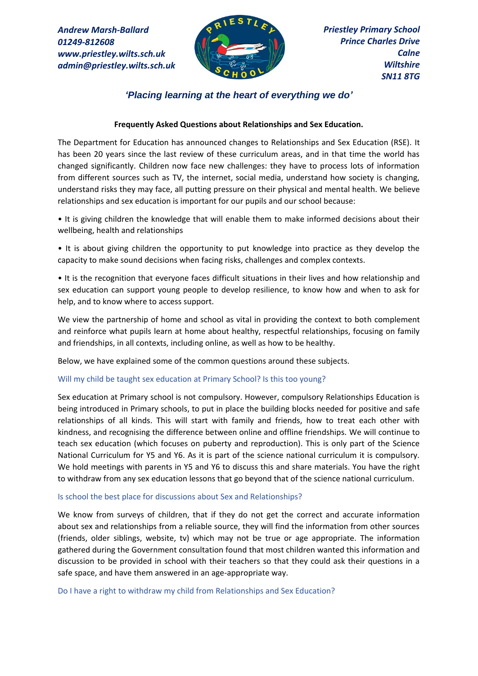*Andrew Marsh-Ballard 01249-812608 www.priestley.wilts.sch.uk admin@priestley.wilts.sch.uk* 



*'Placing learning at the heart of everything we do'*

# **Frequently Asked Questions about Relationships and Sex Education.**

The Department for Education has announced changes to Relationships and Sex Education (RSE). It has been 20 years since the last review of these curriculum areas, and in that time the world has changed significantly. Children now face new challenges: they have to process lots of information from different sources such as TV, the internet, social media, understand how society is changing, understand risks they may face, all putting pressure on their physical and mental health. We believe relationships and sex education is important for our pupils and our school because:

• It is giving children the knowledge that will enable them to make informed decisions about their wellbeing, health and relationships

• It is about giving children the opportunity to put knowledge into practice as they develop the capacity to make sound decisions when facing risks, challenges and complex contexts.

• It is the recognition that everyone faces difficult situations in their lives and how relationship and sex education can support young people to develop resilience, to know how and when to ask for help, and to know where to access support.

We view the partnership of home and school as vital in providing the context to both complement and reinforce what pupils learn at home about healthy, respectful relationships, focusing on family and friendships, in all contexts, including online, as well as how to be healthy.

Below, we have explained some of the common questions around these subjects.

# Will my child be taught sex education at Primary School? Is this too young?

Sex education at Primary school is not compulsory. However, compulsory Relationships Education is being introduced in Primary schools, to put in place the building blocks needed for positive and safe relationships of all kinds. This will start with family and friends, how to treat each other with kindness, and recognising the difference between online and offline friendships. We will continue to teach sex education (which focuses on puberty and reproduction). This is only part of the Science National Curriculum for Y5 and Y6. As it is part of the science national curriculum it is compulsory. We hold meetings with parents in Y5 and Y6 to discuss this and share materials. You have the right to withdraw from any sex education lessons that go beyond that of the science national curriculum.

## Is school the best place for discussions about Sex and Relationships?

We know from surveys of children, that if they do not get the correct and accurate information about sex and relationships from a reliable source, they will find the information from other sources (friends, older siblings, website, tv) which may not be true or age appropriate. The information gathered during the Government consultation found that most children wanted this information and discussion to be provided in school with their teachers so that they could ask their questions in a safe space, and have them answered in an age-appropriate way.

Do I have a right to withdraw my child from Relationships and Sex Education?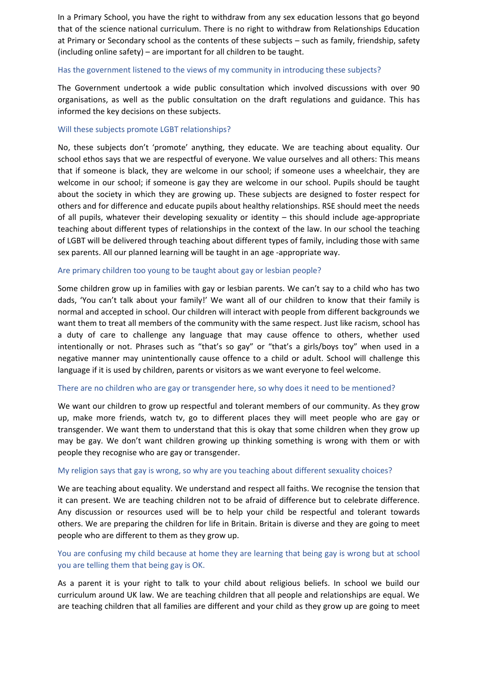In a Primary School, you have the right to withdraw from any sex education lessons that go beyond that of the science national curriculum. There is no right to withdraw from Relationships Education at Primary or Secondary school as the contents of these subjects – such as family, friendship, safety (including online safety) – are important for all children to be taught.

### Has the government listened to the views of my community in introducing these subjects?

The Government undertook a wide public consultation which involved discussions with over 90 organisations, as well as the public consultation on the draft regulations and guidance. This has informed the key decisions on these subjects.

### Will these subjects promote LGBT relationships?

No, these subjects don't 'promote' anything, they educate. We are teaching about equality. Our school ethos says that we are respectful of everyone. We value ourselves and all others: This means that if someone is black, they are welcome in our school; if someone uses a wheelchair, they are welcome in our school; if someone is gay they are welcome in our school. Pupils should be taught about the society in which they are growing up. These subjects are designed to foster respect for others and for difference and educate pupils about healthy relationships. RSE should meet the needs of all pupils, whatever their developing sexuality or identity – this should include age-appropriate teaching about different types of relationships in the context of the law. In our school the teaching of LGBT will be delivered through teaching about different types of family, including those with same sex parents. All our planned learning will be taught in an age -appropriate way.

### Are primary children too young to be taught about gay or lesbian people?

Some children grow up in families with gay or lesbian parents. We can't say to a child who has two dads, 'You can't talk about your family!' We want all of our children to know that their family is normal and accepted in school. Our children will interact with people from different backgrounds we want them to treat all members of the community with the same respect. Just like racism, school has a duty of care to challenge any language that may cause offence to others, whether used intentionally or not. Phrases such as "that's so gay" or "that's a girls/boys toy" when used in a negative manner may unintentionally cause offence to a child or adult. School will challenge this language if it is used by children, parents or visitors as we want everyone to feel welcome.

#### There are no children who are gay or transgender here, so why does it need to be mentioned?

We want our children to grow up respectful and tolerant members of our community. As they grow up, make more friends, watch tv, go to different places they will meet people who are gay or transgender. We want them to understand that this is okay that some children when they grow up may be gay. We don't want children growing up thinking something is wrong with them or with people they recognise who are gay or transgender.

#### My religion says that gay is wrong, so why are you teaching about different sexuality choices?

We are teaching about equality. We understand and respect all faiths. We recognise the tension that it can present. We are teaching children not to be afraid of difference but to celebrate difference. Any discussion or resources used will be to help your child be respectful and tolerant towards others. We are preparing the children for life in Britain. Britain is diverse and they are going to meet people who are different to them as they grow up.

# You are confusing my child because at home they are learning that being gay is wrong but at school you are telling them that being gay is OK.

As a parent it is your right to talk to your child about religious beliefs. In school we build our curriculum around UK law. We are teaching children that all people and relationships are equal. We are teaching children that all families are different and your child as they grow up are going to meet